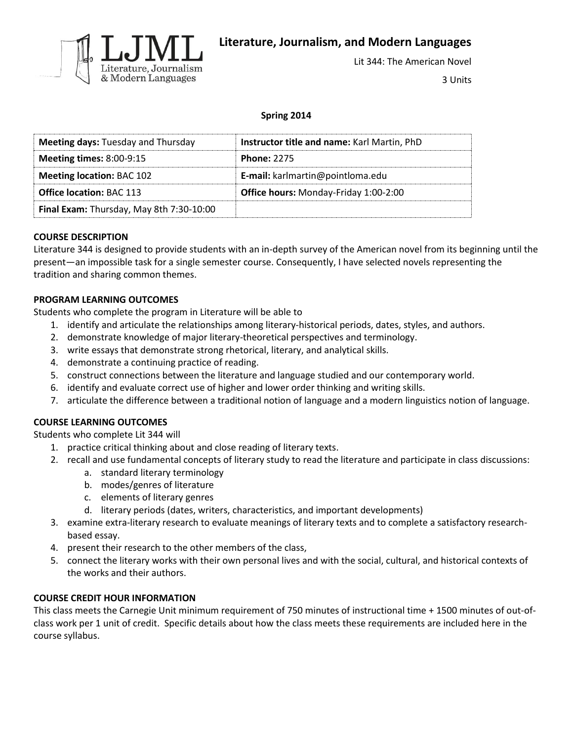

**Literature, Journalism, and Modern Languages**

Lit 344: The American Novel

3 Units

## **Spring 2014**

| <b>Meeting days: Tuesday and Thursday</b> | Instructor title and name: Karl Martin, PhD |
|-------------------------------------------|---------------------------------------------|
| <b>Meeting times: 8:00-9:15</b>           | <b>Phone: 2275</b>                          |
| <b>Meeting location: BAC 102</b>          | E-mail: karlmartin@pointloma.edu            |
| <b>Office location: BAC 113</b>           | Office hours: Monday-Friday 1:00-2:00       |
| Final Exam: Thursday, May 8th 7:30-10:00  |                                             |

### **COURSE DESCRIPTION**

Literature 344 is designed to provide students with an in-depth survey of the American novel from its beginning until the present—an impossible task for a single semester course. Consequently, I have selected novels representing the tradition and sharing common themes.

### **PROGRAM LEARNING OUTCOMES**

Students who complete the program in Literature will be able to

- 1. identify and articulate the relationships among literary-historical periods, dates, styles, and authors.
- 2. demonstrate knowledge of major literary-theoretical perspectives and terminology.
- 3. write essays that demonstrate strong rhetorical, literary, and analytical skills.
- 4. demonstrate a continuing practice of reading.
- 5. construct connections between the literature and language studied and our contemporary world.
- 6. identify and evaluate correct use of higher and lower order thinking and writing skills.
- 7. articulate the difference between a traditional notion of language and a modern linguistics notion of language.

## **COURSE LEARNING OUTCOMES**

Students who complete Lit 344 will

- 1. practice critical thinking about and close reading of literary texts.
- 2. recall and use fundamental concepts of literary study to read the literature and participate in class discussions:
	- a. standard literary terminology
	- b. modes/genres of literature
	- c. elements of literary genres
	- d. literary periods (dates, writers, characteristics, and important developments)
- 3. examine extra-literary research to evaluate meanings of literary texts and to complete a satisfactory researchbased essay.
- 4. present their research to the other members of the class,
- 5. connect the literary works with their own personal lives and with the social, cultural, and historical contexts of the works and their authors.

## **COURSE CREDIT HOUR INFORMATION**

This class meets the Carnegie Unit minimum requirement of 750 minutes of instructional time + 1500 minutes of out-ofclass work per 1 unit of credit. Specific details about how the class meets these requirements are included here in the course syllabus.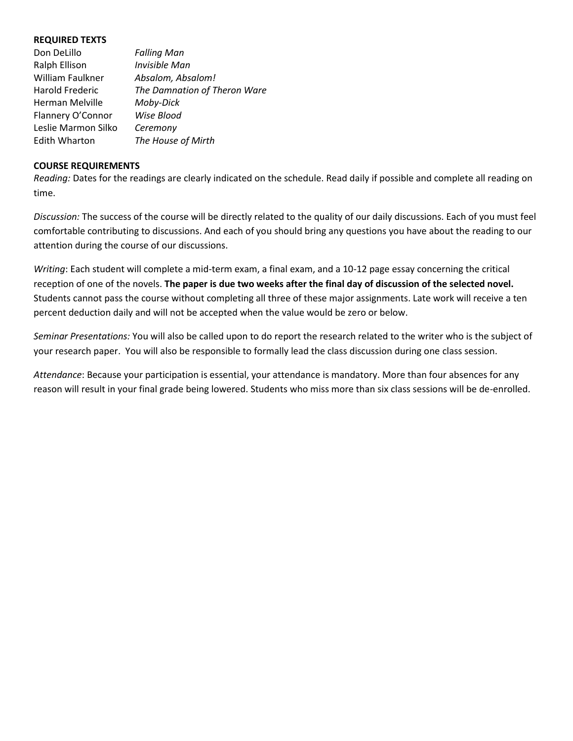#### **REQUIRED TEXTS**

| Don DeLillo          | <b>Falling Man</b>           |
|----------------------|------------------------------|
| Ralph Ellison        | Invisible Man                |
| William Faulkner     | Absalom, Absalom!            |
| Harold Frederic      | The Damnation of Theron Ware |
| Herman Melville      | Moby-Dick                    |
| Flannery O'Connor    | Wise Blood                   |
| Leslie Marmon Silko  | Ceremony                     |
| <b>Edith Wharton</b> | The House of Mirth           |
|                      |                              |

#### **COURSE REQUIREMENTS**

*Reading:* Dates for the readings are clearly indicated on the schedule. Read daily if possible and complete all reading on time.

*Discussion:* The success of the course will be directly related to the quality of our daily discussions. Each of you must feel comfortable contributing to discussions. And each of you should bring any questions you have about the reading to our attention during the course of our discussions.

*Writing*: Each student will complete a mid-term exam, a final exam, and a 10-12 page essay concerning the critical reception of one of the novels. **The paper is due two weeks after the final day of discussion of the selected novel.** Students cannot pass the course without completing all three of these major assignments. Late work will receive a ten percent deduction daily and will not be accepted when the value would be zero or below.

*Seminar Presentations:* You will also be called upon to do report the research related to the writer who is the subject of your research paper. You will also be responsible to formally lead the class discussion during one class session.

*Attendance*: Because your participation is essential, your attendance is mandatory. More than four absences for any reason will result in your final grade being lowered. Students who miss more than six class sessions will be de-enrolled.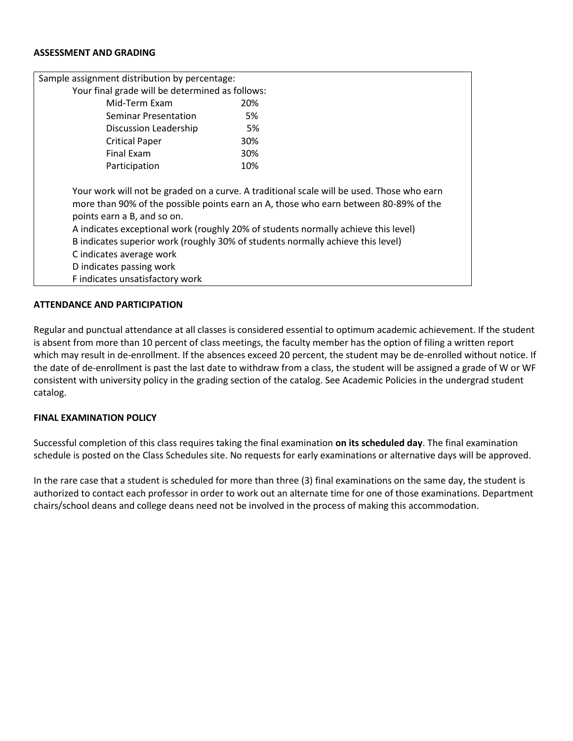#### **ASSESSMENT AND GRADING**

| Sample assignment distribution by percentage:                                                                                                                                                                                                                                                                                                                                                                                                                                        |     |  |
|--------------------------------------------------------------------------------------------------------------------------------------------------------------------------------------------------------------------------------------------------------------------------------------------------------------------------------------------------------------------------------------------------------------------------------------------------------------------------------------|-----|--|
| Your final grade will be determined as follows:                                                                                                                                                                                                                                                                                                                                                                                                                                      |     |  |
| Mid-Term Exam                                                                                                                                                                                                                                                                                                                                                                                                                                                                        | 20% |  |
| Seminar Presentation                                                                                                                                                                                                                                                                                                                                                                                                                                                                 | 5%  |  |
| Discussion Leadership                                                                                                                                                                                                                                                                                                                                                                                                                                                                | 5%  |  |
| <b>Critical Paper</b>                                                                                                                                                                                                                                                                                                                                                                                                                                                                | 30% |  |
| Final Exam                                                                                                                                                                                                                                                                                                                                                                                                                                                                           | 30% |  |
| Participation                                                                                                                                                                                                                                                                                                                                                                                                                                                                        | 10% |  |
| Your work will not be graded on a curve. A traditional scale will be used. Those who earn<br>more than 90% of the possible points earn an A, those who earn between 80-89% of the<br>points earn a B, and so on.<br>A indicates exceptional work (roughly 20% of students normally achieve this level)<br>B indicates superior work (roughly 30% of students normally achieve this level)<br>C indicates average work<br>D indicates passing work<br>F indicates unsatisfactory work |     |  |

#### **ATTENDANCE AND PARTICIPATION**

Regular and punctual attendance at all classes is considered essential to optimum academic achievement. If the student is absent from more than 10 percent of class meetings, the faculty member has the option of filing a written report which may result in de-enrollment. If the absences exceed 20 percent, the student may be de-enrolled without notice. If the date of de-enrollment is past the last date to withdraw from a class, the student will be assigned a grade of W or WF consistent with university policy in the grading section of the catalog. See Academic Policies in the undergrad student catalog.

#### **FINAL EXAMINATION POLICY**

Successful completion of this class requires taking the final examination **on its scheduled day**. The final examination schedule is posted on the Class Schedules site. No requests for early examinations or alternative days will be approved.

In the rare case that a student is scheduled for more than three (3) final examinations on the same day, the student is authorized to contact each professor in order to work out an alternate time for one of those examinations. Department chairs/school deans and college deans need not be involved in the process of making this accommodation.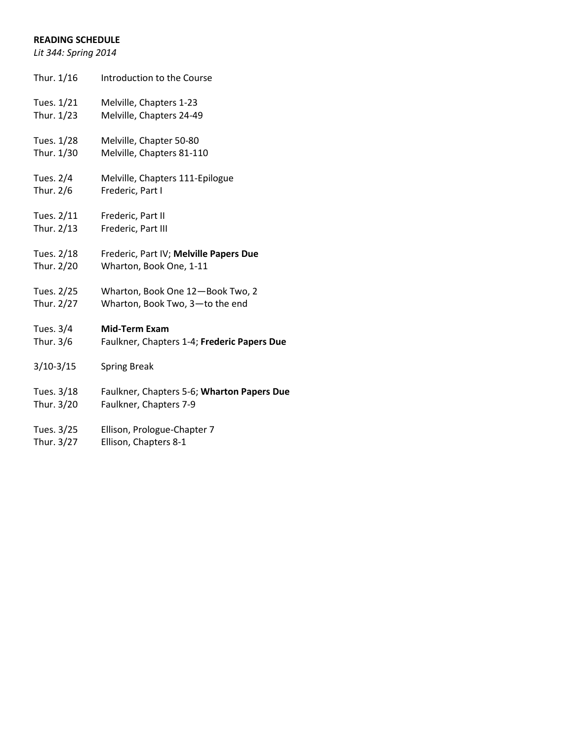# **READING SCHEDULE**

*Lit 344: Spring 2014*

| Thur. 1/16  | Introduction to the Course                  |
|-------------|---------------------------------------------|
| Tues. 1/21  | Melville, Chapters 1-23                     |
| Thur. 1/23  | Melville, Chapters 24-49                    |
| Tues. 1/28  | Melville, Chapter 50-80                     |
| Thur. 1/30  | Melville, Chapters 81-110                   |
| Tues. 2/4   | Melville, Chapters 111-Epilogue             |
| Thur. 2/6   | Frederic, Part I                            |
| Tues. 2/11  | Frederic, Part II                           |
| Thur. 2/13  | Frederic, Part III                          |
| Tues. 2/18  | Frederic, Part IV; Melville Papers Due      |
| Thur. 2/20  | Wharton, Book One, 1-11                     |
| Tues. 2/25  | Wharton, Book One 12-Book Two, 2            |
| Thur. 2/27  | Wharton, Book Two, 3-to the end             |
| Tues. 3/4   | <b>Mid-Term Exam</b>                        |
| Thur. 3/6   | Faulkner, Chapters 1-4; Frederic Papers Due |
| $3/10-3/15$ | <b>Spring Break</b>                         |
| Tues. 3/18  | Faulkner, Chapters 5-6; Wharton Papers Due  |
| Thur. 3/20  | Faulkner, Chapters 7-9                      |
| Tues. 3/25  | Ellison, Prologue-Chapter 7                 |
| Thur. 3/27  | Ellison, Chapters 8-1                       |